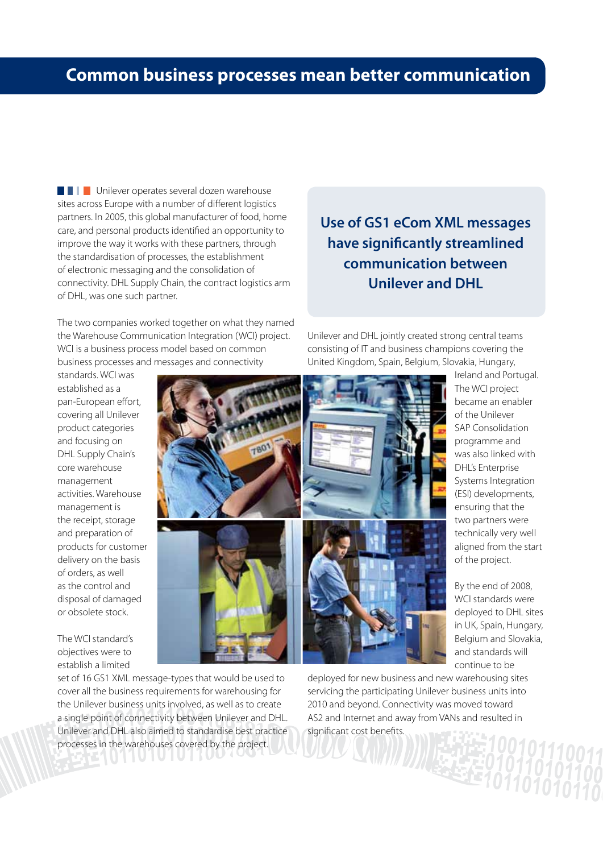## **common business processes mean better communication**

**UNIMEDIA Unilever operates several dozen warehouse** sites across Europe with a number of different logistics partners. In 2005, this global manufacturer of food, home care, and personal products identified an opportunity to improve the way it works with these partners, through the standardisation of processes, the establishment of electronic messaging and the consolidation of connectivity. DHL Supply Chain, the contract logistics arm of DHL, was one such partner.

The two companies worked together on what they named the Warehouse Communication Integration (WCI) project. WCI is a business process model based on common business processes and messages and connectivity

**Use of GS1 eCom XML messages have significantly streamlined communication between Unilever and DHL** 

Unilever and DHL jointly created strong central teams consisting of IT and business champions covering the United Kingdom, Spain, Belgium, Slovakia, Hungary,

standards. WCI was established as a pan-European effort, covering all Unilever product categories and focusing on DHL Supply Chain's core warehouse management activities. Warehouse management is the receipt, storage and preparation of products for customer delivery on the basis of orders, as well as the control and disposal of damaged or obsolete stock.

The WCI standard's objectives were to establish a limited

set of 16 GS1 XML message-types that would be used to cover all the business requirements for warehousing for the Unilever business units involved, as well as to create a single point of connectivity between Unilever and DHL. Unilever and DHL also aimed to standardise best practice processes in the warehouses covered by the project.

**UIUIU** 



deployed for new business and new warehousing sites servicing the participating Unilever business units into 2010 and beyond. Connectivity was moved toward AS2 and Internet and away from VANs and resulted in significant cost benefits.

Ireland and Portugal. The WCI project became an enabler of the Unilever SAP Consolidation programme and was also linked with DHL's Enterprise Systems Integration (ESI) developments, ensuring that the two partners were technically very well aligned from the start of the project.

By the end of 2008, WCI standards were deployed to DHL sites in UK, Spain, Hungary, Belgium and Slovakia, and standards will continue to be